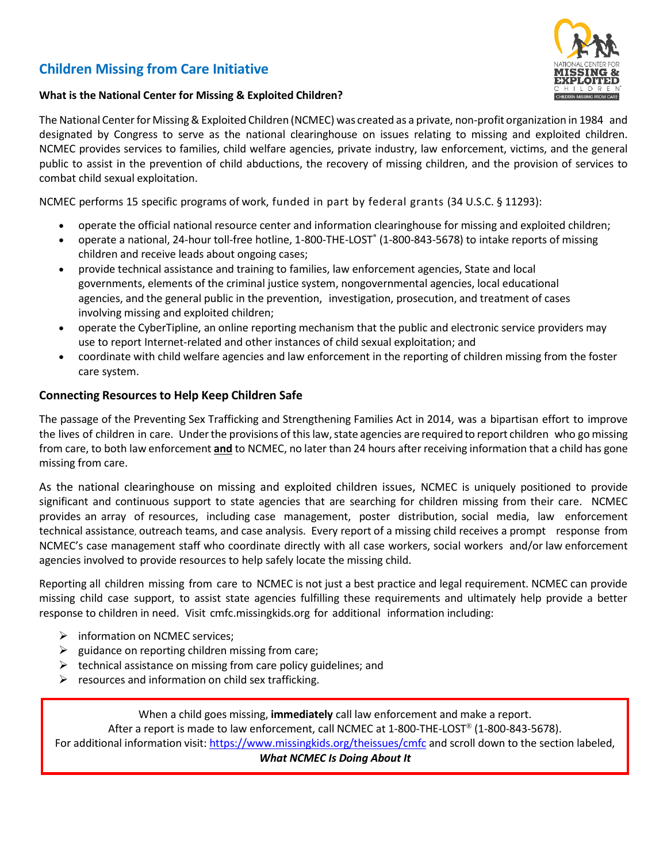# **Children Missing from Care Initiative**



#### **What is the National Center for Missing & Exploited Children?**

The National Center for Missing & Exploited Children (NCMEC) was created as a private, non-profit organization in 1984 and designated by Congress to serve as the national clearinghouse on issues relating to missing and exploited children. NCMEC provides services to families, child welfare agencies, private industry, law enforcement, victims, and the general public to assist in the prevention of child abductions, the recovery of missing children, and the provision of services to combat child sexual exploitation.

NCMEC performs 15 specific programs of work, funded in part by federal grants (34 U.S.C. § 11293):

- operate the official national resource center and information clearinghouse for missing and exploited children;
- operate a national, 24-hour toll-free hotline, 1-800-THE-LOST® (1-800-843-5678) to intake reports of missing children and receive leads about ongoing cases;
- provide technical assistance and training to families, law enforcement agencies, State and local governments, elements of the criminal justice system, nongovernmental agencies, local educational agencies, and the general public in the prevention, investigation, prosecution, and treatment of cases involving missing and exploited children;
- operate the CyberTipline, an online reporting mechanism that the public and electronic service providers may use to report Internet-related and other instances of child sexual exploitation; and
- coordinate with child welfare agencies and law enforcement in the reporting of children missing from the foster care system.

## **Connecting Resources to Help Keep Children Safe**

The passage of the Preventing Sex Trafficking and Strengthening Families Act in 2014, was a bipartisan effort to improve the lives of children in care. Under the provisions of this law, state agencies are required to report children who go missing from care, to both law enforcement **and** to NCMEC, no later than 24 hours after receiving information that a child has gone missing from care.

As the national clearinghouse on missing and exploited children issues, NCMEC is uniquely positioned to provide significant and continuous support to state agencies that are searching for children missing from their care. NCMEC provides an array of resources, including case management, poster distribution, social media, law enforcement technical assistance, outreach teams, and case analysis. Every report of a missing child receives a prompt response from NCMEC's case management staff who coordinate directly with all case workers, social workers and/or law enforcement agencies involved to provide resources to help safely locate the missing child.

Reporting all children missing from care to NCMEC is not just a best practice and legal requirement. NCMEC can provide missing child case support, to assist state agencies fulfilling these requirements and ultimately help provide a better response to children in need. Visit cmfc.missingkids.org for additional information including:

- $\triangleright$  information on NCMEC services;
- $\triangleright$  guidance on reporting children missing from care;
- $\triangleright$  technical assistance on missing from care policy guidelines; and
- $\triangleright$  resources and information on child sex trafficking.

When a child goes missing, **immediately** call law enforcement and make a report. After a report is made to law enforcement, call NCMEC at 1-800-THE-LOST® (1-800-843-5678). For additional information visit:<https://www.missingkids.org/theissues/cmfc> and scroll down to the section labeled,

*What NCMEC Is Doing About It*